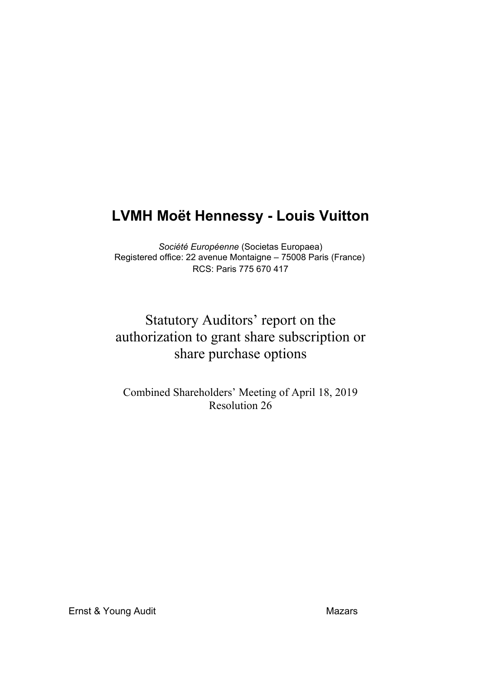## **LVMH Moët Hennessy - Louis Vuitton**

*Société Européenne* (Societas Europaea) Registered office: 22 avenue Montaigne – 75008 Paris (France) RCS: Paris 775 670 417

## Statutory Auditors' report on the authorization to grant share subscription or share purchase options

Combined Shareholders' Meeting of April 18, 2019 Resolution 26

Ernst & Young Audit Mazars Mazars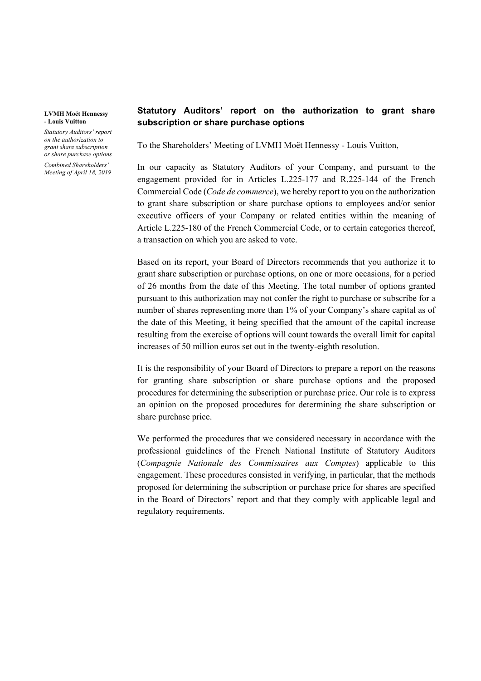## **LVMH Moët Hennessy - Louis Vuitton**

*Statutory Auditors' report on the authorization to grant share subscription or share purchase options*

*Combined Shareholders' Meeting of April 18, 2019*

## **Statutory Auditors' report on the authorization to grant share subscription or share purchase options**

To the Shareholders' Meeting of LVMH Moët Hennessy - Louis Vuitton,

In our capacity as Statutory Auditors of your Company, and pursuant to the engagement provided for in Articles L.225-177 and R.225-144 of the French Commercial Code (*Code de commerce*), we hereby report to you on the authorization to grant share subscription or share purchase options to employees and/or senior executive officers of your Company or related entities within the meaning of Article L.225-180 of the French Commercial Code, or to certain categories thereof, a transaction on which you are asked to vote.

Based on its report, your Board of Directors recommends that you authorize it to grant share subscription or purchase options, on one or more occasions, for a period of 26 months from the date of this Meeting. The total number of options granted pursuant to this authorization may not confer the right to purchase or subscribe for a number of shares representing more than 1% of your Company's share capital as of the date of this Meeting, it being specified that the amount of the capital increase resulting from the exercise of options will count towards the overall limit for capital increases of 50 million euros set out in the twenty-eighth resolution.

It is the responsibility of your Board of Directors to prepare a report on the reasons for granting share subscription or share purchase options and the proposed procedures for determining the subscription or purchase price. Our role is to express an opinion on the proposed procedures for determining the share subscription or share purchase price.

We performed the procedures that we considered necessary in accordance with the professional guidelines of the French National Institute of Statutory Auditors (*Compagnie Nationale des Commissaires aux Comptes*) applicable to this engagement. These procedures consisted in verifying, in particular, that the methods proposed for determining the subscription or purchase price for shares are specified in the Board of Directors' report and that they comply with applicable legal and regulatory requirements.